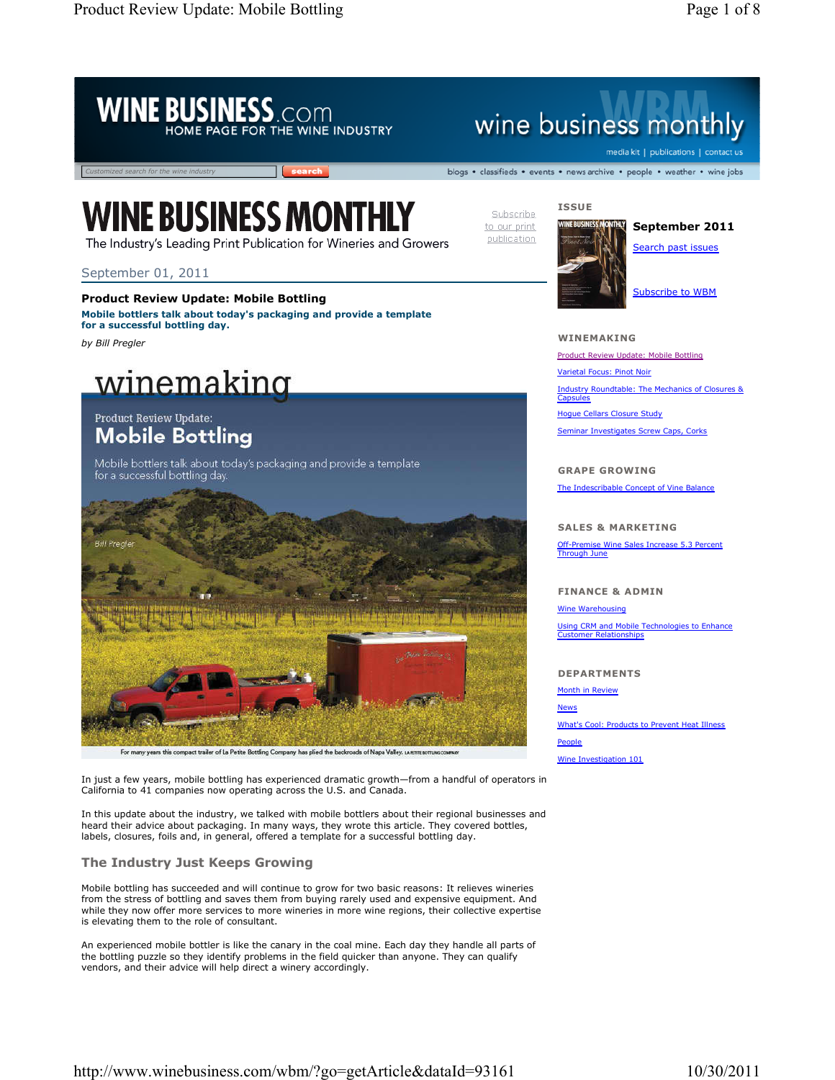

## wine business monthly

media kit | publications | contact us

blogs • classifieds • events • news archive • people • weather • wine jobs

# **WINE BUSINESS MONTHLY**

The Industry's Leading Print Publication for Wineries and Growers

#### September 01, 2011

#### **Product Review Update: Mobile Bottling**

*Customized search for the wine industry*

**Mobile bottlers talk about today's packaging and provide a template for a successful bottling day.** 

*by Bill Pregler* 

## winemaking

### **Product Review Update: Mobile Bottling**

Mobile bottlers talk about today's packaging and provide a template for a successful bottling day.



mpact trailer of La Petite Bottling Company has plied the back ads of Napa Valley. LAP

In just a few years, mobile bottling has experienced dramatic growth—from a handful of operators in California to 41 companies now operating across the U.S. and Canada.

In this update about the industry, we talked with mobile bottlers about their regional businesses and heard their advice about packaging. In many ways, they wrote this article. They covered bottles, labels, closures, foils and, in general, offered a template for a successful bottling day.

### **The Industry Just Keeps Growing**

Mobile bottling has succeeded and will continue to grow for two basic reasons: It relieves wineries from the stress of bottling and saves them from buying rarely used and expensive equipment. And while they now offer more services to more wineries in more wine regions, their collective expertise is elevating them to the role of consultant.

An experienced mobile bottler is like the canary in the coal mine. Each day they handle all parts of the bottling puzzle so they identify problems in the field quicker than anyone. They can qualify vendors, and their advice will help direct a winery accordingly.

 **ISSUE**

Subscribe to our print publication



**September 2011**

Search past issues

Subscribe to WBM

#### **WINEMAKING**

Product Review Update: Mobile Bottling

Varietal Focus: Pinot Noir

Industry Roundtable: The Mechanics of Closures & **Capsules** Hogue Cellars Closure Study Seminar Investigates Screw Caps, Corks

 **GRAPE GROWING** The Indescribable Concept of Vine Balance

 **SALES & MARKETING**

Off-Premise Wine Sales Increase 5.3 Percent **Through Jun** 

 **FINANCE & ADMIN**

Wine Warehousing ng CRM and Mobile Technologies to Enha shins

 **DEPARTMENTS**

Month in Revie

**News** 

What's Cool: Products to Prevent Heat Illness People

Wine Investigation 101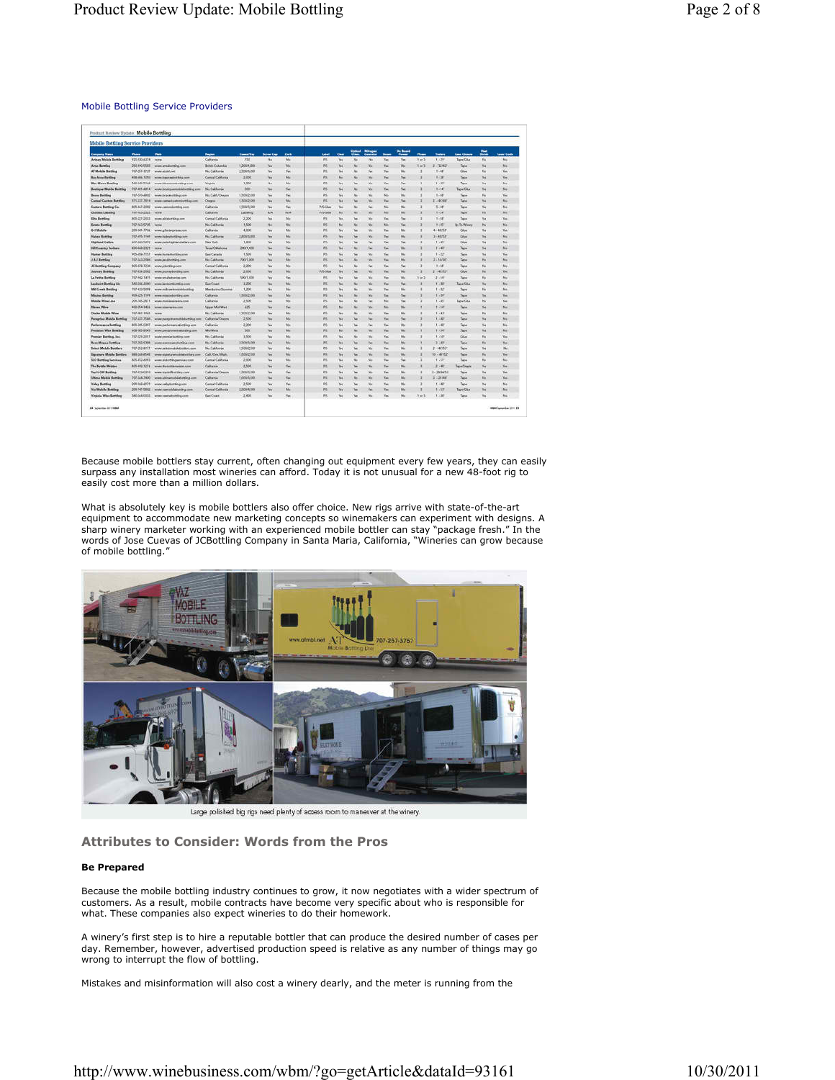#### Mobile Bottling Service Providers

| <b>Mobile Bottling Service Providers</b>    |                     |                                              |                            |              |            |            |               |                          |                 |                |                |               |          |               |                        |            |             |
|---------------------------------------------|---------------------|----------------------------------------------|----------------------------|--------------|------------|------------|---------------|--------------------------|-----------------|----------------|----------------|---------------|----------|---------------|------------------------|------------|-------------|
|                                             |                     |                                              |                            |              |            |            |               |                          |                 | Option Newsam  |                | On Board      |          |               |                        | 出          |             |
| <b>Company Name</b>                         | Phone:              | Web                                          | Region                     | Count/Pag    | Sense Cap  | Zuk        | <b>Lakel</b>  | Chee                     |                 |                | <b>Shapes</b>  | $r_{\rm max}$ | Phone:   | <b>Suites</b> | Case Christin          |            | Laura Cook  |
| <b>Artisan Medala Betting</b>               | V25/E20-6274        | <b>Yales</b>                                 | California:                | 714          | Fbis       | Ma         | P/S           | Yes.                     | Me              | No.            | $N_{\rm BH}$   | Yat           | $x = 5$  | 1.27          | Tage Cities            | File       | Mo.         |
| <b>Artes Buttling</b>                       | 255-495-5588        | www.articalisming.com                        | <b>British Culturation</b> | 1,200/1,000  | Test       | Mai        | 265           | Tel                      | 16              | $N_{\rm H}$    | Ver.           | Au            | Kia Ti   | $2 - 32962$   | Tajie                  | No.        | 564         |
| <b>AT Mobile Burning</b>                    | 201257-1727         | www.attribust                                | No. California             | 23000.000    | Tex        | Yes        | <b>PA</b>     | The                      | F6c             | $N_{\rm H}$    | Yes            | Wes           | ×        | 1.48          | Glue                   | Bo.        | Yes         |
| <b>Ray Aires Battling</b>                   | 436,686,1203        | wine has a sale (this anim                   | Cannot California          | $3 - 000$    | Thus.      | Mi.        | RS.           | 16                       | $^{16}$         | M.             | Yes            | Yes           |          | 8.38          | Tais                   | No.        | w           |
| <b>Nos Mone Bentley</b>                     | <b>SASSASSIAN</b>   | www.bloomsock.ching.com                      | <b>Vicinia</b>             | 1,350        | File       | ы          | <b>AS</b>     | No.                      | v.              | No             | Yes            | Ver.          | ٠        | $1 - 25$      | Table                  | Nex        | No.         |
| <b>Reutique Mobile Senting</b>              | 757-881-6814        | www.keykipaminialanting.com                  | No. California             | kee-         | Total      | Yes.       | ins.          | $\overline{\phantom{a}}$ | 360             | We             | Yu.            | ۷w            |          | $9 - 16$      | Tapa Glue              | No.        | $^{54+}$    |
| <b>Brove Battling</b>                       | 705-03-1800         | were brank office con-                       | No. Call /Owans            | 1300/2500    | The        | Yes.       | art.          | the                      | H <sub>0</sub>  | PAL            | AL.            | Ni            |          | $1 - 40$      | Ture                   | Fire       | Yes         |
| <b>Castual Custom Betting</b>               | 375-237-7414        | www.camadochmbotkap.com                      | Owego                      | 1,500(2,000) | Yes.       | hku.       | <b>INS</b>    | To a                     | Yes             | W-             | Yes            | Ver.          |          | $2 - 400$ kg  | Tale                   | No.        | 56          |
| <b>Castury Battling Co.</b>                 | AUT-447-2002        | www.camminating.com                          | Catheria                   | 1,500/3,000  | The        | Yes.       | <b>Fricha</b> | Yes                      | 364             | $N_{\rm Pl}$   | No.            | No.           |          | $5 - 48'$     | ties.                  | No.        | 560         |
| <b>Chimatel Moding</b>                      | 262-RL3-2222        | <b>Volume</b>                                | Culturea                   | Lateleg      | <b>NSA</b> | Aria.      | P/S-Che       | H <sub>0</sub>           | M.              | No.            | $\overline{a}$ | No.           |          | $1 - 26$      | Tip+                   | Pks        | 544         |
| <b>Else Inviting</b>                        | A05-227-2015        | men alfabetting ann                          | Control California         | 2,300        | Yes        | his        | P/S           | Tex                      | Yes             | No.            | Yas            | Yar           |          | $7 - 42$      | Taix                   | No.        | Tax         |
| <b>Ectate Building</b>                      | 202-RELIGIOS        | Venie                                        | No. California             | 1,500        | No         | <b>PAx</b> | <b>DS</b>     | No                       | N               | W.             | M.             | ۷m            |          | $1 - 45$      | <b>Gips To Winners</b> | No.        | No          |
| G.3 Muldie                                  | 206341-7706         | www.planterstom.com                          | Celturnia                  | 4,000        | Test       | Mc         | P/S           | Ties                     | Yu              | No             | Ver            | No            |          | 4.48/52       | Clus                   | Tax        | Yes         |
| <b>Halvey Buttley</b>                       | 205-495-1448        | www.halershatting com-                       | <b>Fox California</b>      | 2,600/5,800  | Yes.       | Mo         | P/S           | No.                      | Yue             | W              | Yes            | m             |          | $3 - 44775F$  | <b>Chief</b>           | No.        | Ma          |
| <b>Highland Collars</b>                     | 607-243-5297        | www.peterbiphlet.diafters.com                | <b>Tries York</b>          | 1,800        | Two        | Me         | P/S           | Yes                      | v.              | Yes.           | Vac            | v.            | ٠        | $1 - 40$      | <b>Give</b>            | <b>Too</b> | No          |
| <b>HA Country Cerkers</b>                   | XX68482327          | <b>SHAP</b>                                  | Terrari Childrenon         | 2001.006     | Test       | Yes.       | W.            | Vol.                     | The             | Var.           | Voice          | Wes           |          | 11.40         | Tapia                  | No.        | No.         |
| <b>Huster Buttling</b>                      | 95-459-7157         | wide humanities con-                         | <b>East Catado</b>         | 1,506        | Yes.       | m          | P/S           | Tues.                    | <b>You</b>      | W              | You            | N.            |          | $1 - 22$      | Ties                   | No.        | Yes         |
| <b>JAJEmbry</b>                             | 205.545.2004        | a briddebilda com                            | <b>Ric California</b>      | 7001308      | Yes        | Mr.        | m             | <b>Nat</b>               | u               | No             | Yu.            | ш             |          | $2 - 16730$   | <b>Tigis</b>           | Fe's       | Mo.         |
| <b>K Briting Company</b>                    | 005478-7234         | www.ichutting.com                            | Cannel California          | 2,200        | Text.      | ы.         | p.s.          | Ned                      | Ho.             | Yui            | Yu-            | Ver           | ٠        | $1 - 48'$     | Taiw                   | No.        | No.         |
| <b><i><u><b>Desirey Setting</b></u></i></b> | 747-K14-2002        | were pump bottling com-                      | No. California             | 2,000        | You        | Mi         | P/S-CA        | Tes                      | w               | W.             | Yes            | ы             |          | 1.4881        | <b>Chie</b>            | No.        | Yes         |
| La Petite Bettling                          | 202-942-1415        | press artisfasturiles com-                   | <b>No. California</b>      | SOUT ON      | Test       | Yes        | RK.           | To:                      | Yu              | We             | Yes:           | W.            | $N = 2$  | 2.16          | Tune:                  | Fire       | $N_{\rm H}$ |
| Landwort Butting Un                         | 5452463500          | www.lastinittivitting.com                    | East Clutch                | 3,200        | You        | Mr.        | <b>Ins</b>    | Tu                       | 16              | W.             | <b>Tes</b>     | Yek.          |          | $1 - 40$      | <b>Tara Gilar</b>      | Nev        | 140         |
| <b>Mill Crush Berring</b>                   | 727.411/5/69        | www.mil.continuts/aturaling                  | Mestyre/Sonnia             | 1,300        | No         | No.        | 85            | Tes                      | 364             | No.            | Yes            | Ráy           |          | $1 - 32$      | Tere                   | Fin-       | 844         |
| <b>Mission Betting</b>                      | <b>MIS-425-1199</b> | more membrated thrus some                    | Culturea                   | 1.5h0/2.000  | Tel        | M+         | <b>HS</b>     | Tes                      | $\mathbf{u}$    | No.            | Tee            | Year          |          | $1 - 30$      | Ture                   | s.         | Yes         |
| Middle Wine Line                            | 206.145.2671        | www.mobilewinding.com                        | California                 | 3.500        | Your       | Me.        | sis.          | Year                     | No.             | $V_{\rm eff}$  | No             | Yes.          |          | $1 - 41$      | TacialCities           | No.        | Yes         |
| <b>Nauen Ware</b>                           | 4021543434          | where placement is low.                      | <b>Upper Mid Wast</b>      | 426          | Tex        | Yes:       | <b>RK</b>     | No.                      | $\overline{16}$ | N <sub>0</sub> | Ski-           | 764           |          | $1 - 14$      | Tarik                  | No.        | No.         |
| <b>Chains Mobile When</b>                   | 363,342,1665        | <b>Volume</b>                                | No. California             | 1309/2500    | Two        | Mo.        | pit.          | w.                       | He              | No             | You            | No            |          | 1.47          | Tele                   | Pins       | He          |
| <b>Paragrise Meddle Briting</b>             | 202-437-7588        | wise parent manufabricities com-             | California Oragon          | 2,500        | You        | Mai        | p.e.          | Wei                      | Yes             | Nes            | Yes            | ۱ü            |          | 1.187         | Tape                   | No.        | No.         |
| Fertermance Settling                        | 805-305-0267        | www.parformancebombing.com                   | California                 | 2,300        | Text.      | Mar.       | P/S           | Yes                      | $^{11}$         | No.            | Van            | No.           |          | $1 - 40$      | Tape                   | No.        | No.         |
| President Water Barring                     | 408-385-8043        | www.prevarious.tradoctory.com                | <b>McGling</b>             | 700          | Tes        | Akc        | ps.           | No.                      | <b>Fbd</b>      | West           | Yes            | W4            |          | 1.54          | Tep4                   | No.        | No.         |
| <b>Premier Battling, Inc.</b>               | 210.529.2017        | many preveal bottling com-                   | No. California             | 3,500        | Yes        | Mu         | RS.           | Tax                      | m               | W.             | Yac            | ш             |          | 1.50          | Chief                  | Fine       | Yes         |
| <b>Ryan Mages Settleg</b>                   | 707-265 9388        | www.querex.profutbing.com                    | <b>Fax California</b>      | 2300/3.000   | Test       | Mo         | <b>JUS</b>    | Tu)                      | Yu              | Yes            | Yes            | Ma            |          | $3 - 40$      | Tape                   | Fax:       | Tui         |
| <b>Select Meldie Bettlers</b>               | 707-252-8777        | www.asis.com/k-Aduction.com                  | No. Cabluria               | 1.500/2.500  | Yes        | Mr.        | bs.           | To:                      | v.              | We             | Yui            | ш             |          | $2 - 48152$   | Tape                   | <b>Tax</b> | hú.         |
| <b>Sunstary Mobile Settlers</b>             | <b>INE 243 2546</b> | prese abstract perturbated of sixthers prim- | Calif./Orig./Wash.         | 1.505(2.500) | Test       | Mi.        | <b>JOS</b>    | Tu,                      | Von             | W.             | Tex            | W.            |          | 10 - 40 /52   | Tucie                  | Firs.      | Yes         |
| <b>S.O Berding Services</b>                 | 805-412-6093        | www.alabottik.guervivaa.com                  | Central California         | 2,000        | Yes.       | Mo.        | <b>PIS</b>    | Yo.                      | the             | We             | Yu.            | Vai:          |          | 1.10          | Tape                   | Fine       | No          |
| The Britis Melder                           | AUS. 400.1271       | www.fishuitlameake.com                       | California                 | 2,800        | Tex        | No.        | <b>KR</b>     | To:                      | Yu              | $^{16}$        | You            | ы.            |          | $2 - 40$      | <b>Tara/Tracks</b>     | Nei        | No.         |
| Tea it Off Battling                         | 761-815-0318        | www.tractofficetting.com                     | California/Owgon           | 1,500/2,000  | Tex        | Yes.       | <b>RS</b>     | Sec                      | Yes             | No.            | Yes            | ы,            |          | 1-29/34/52    | Tipe                   | Tex        | Yek         |
| <b>Utims Mekle Renting</b>                  | 205,324,7400        | www.ultimam.childrichting.com                | California                 | 1,000/3,000  | The        | Yax        | ins.          | Tel                      | M               | $^{16}$        | Yu             | ш             |          | $2 - 24148$   | Tape                   | this       | Yes         |
| <b>Valley Betting</b>                       | 2061484839          | www.valintietting.com                        | Central California         | 2,500        | Two:       | Yek        | 66            | Yes                      | You             | No.            | v.             | ш             |          | 1.48          | <b>Faire</b>           | Ne         | No          |
| <b>Var Mehle Berting</b>                    | 206, 347, 5802      |                                              |                            |              |            |            | pit.          |                          |                 |                |                |               |          |               | Tape/Clim              |            |             |
|                                             |                     | main comiché doctring ann                    | Central California         | 2,500/6,500  | Twi        | Mi         |               | Ture                     | Yue             | Vei            | Tax            | Nu            |          | 1.17          |                        | No.        | No          |
| <b>Virginia Wine Serving</b>                | SAN 344-0222        | www.commissionling.com                       | East Coast                 | 2.000        | Yes        | Yes        | <b>PA</b>     | $\sim$                   |                 |                | Yes            | u             | Y air 31 | $1 - 30$      | Tape                   | No.        | 14          |

Because mobile bottlers stay current, often changing out equipment every few years, they can easily surpass any installation most wineries can afford. Today it is not unusual for a new 48-foot rig to easily cost more than a million dollars.

What is absolutely key is mobile bottlers also offer choice. New rigs arrive with state-of-the-art equipment to accommodate new marketing concepts so winemakers can experiment with designs. A sharp winery marketer working with an experienced mobile bottler can stay "package fresh." In the words of Jose Cuevas of JCBottling Company in Santa Maria, California, "Wineries can grow because of mobile bottling."



Large polished big rigs need plenty of access room to maneuver at the winery.

#### **Attributes to Consider: Words from the Pros**

#### **Be Prepared**

Because the mobile bottling industry continues to grow, it now negotiates with a wider spectrum of customers. As a result, mobile contracts have become very specific about who is responsible for what. These companies also expect wineries to do their homework.

A winery's first step is to hire a reputable bottler that can produce the desired number of cases per day. Remember, however, advertised production speed is relative as any number of things may go wrong to interrupt the flow of bottling.

Mistakes and misinformation will also cost a winery dearly, and the meter is running from the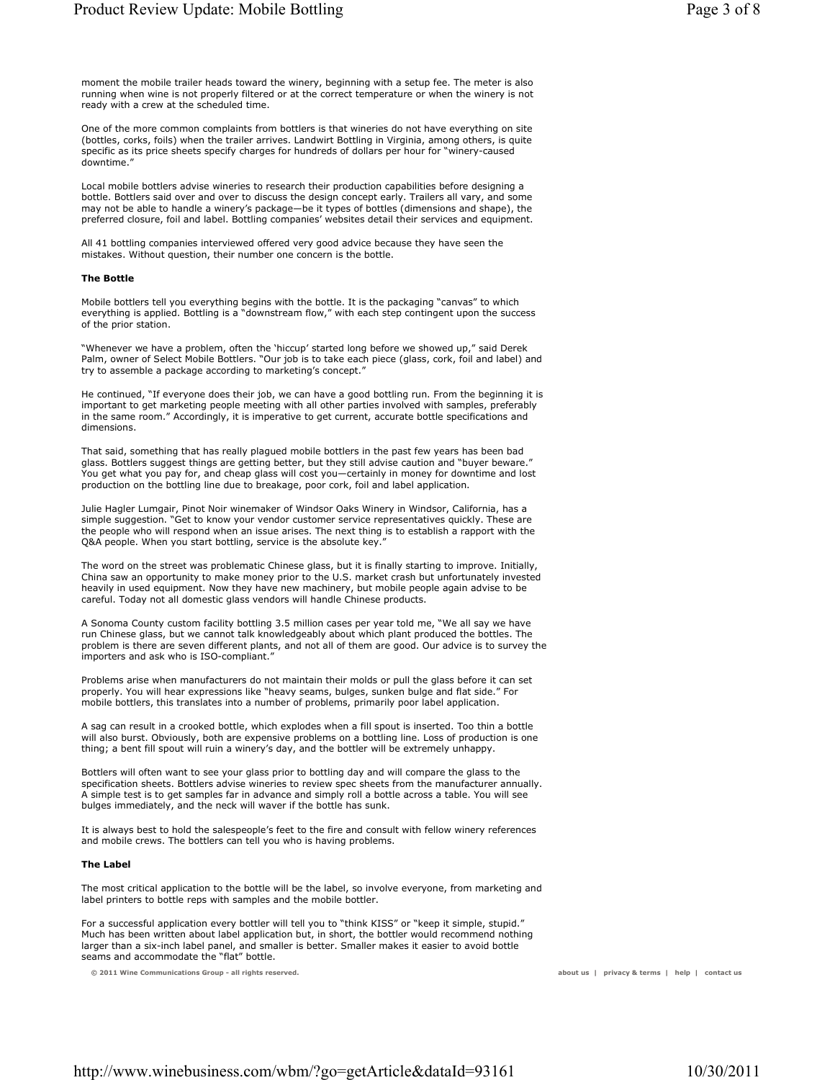moment the mobile trailer heads toward the winery, beginning with a setup fee. The meter is also running when wine is not properly filtered or at the correct temperature or when the winery is not ready with a crew at the scheduled time.

One of the more common complaints from bottlers is that wineries do not have everything on site (bottles, corks, foils) when the trailer arrives. Landwirt Bottling in Virginia, among others, is quite specific as its price sheets specify charges for hundreds of dollars per hour for "winery-caused downtime."

Local mobile bottlers advise wineries to research their production capabilities before designing a bottle. Bottlers said over and over to discuss the design concept early. Trailers all vary, and some may not be able to handle a winery's package—be it types of bottles (dimensions and shape), the preferred closure, foil and label. Bottling companies' websites detail their services and equipment.

All 41 bottling companies interviewed offered very good advice because they have seen the mistakes. Without question, their number one concern is the bottle.

#### **The Bottle**

Mobile bottlers tell you everything begins with the bottle. It is the packaging "canvas" to which everything is applied. Bottling is a "downstream flow," with each step contingent upon the success of the prior station.

"Whenever we have a problem, often the 'hiccup' started long before we showed up," said Derek Palm, owner of Select Mobile Bottlers. "Our job is to take each piece (glass, cork, foil and label) and try to assemble a package according to marketing's concept."

He continued, "If everyone does their job, we can have a good bottling run. From the beginning it is important to get marketing people meeting with all other parties involved with samples, preferably in the same room." Accordingly, it is imperative to get current, accurate bottle specifications and dimensions.

That said, something that has really plagued mobile bottlers in the past few years has been bad glass. Bottlers suggest things are getting better, but they still advise caution and "buyer beware." You get what you pay for, and cheap glass will cost you—certainly in money for downtime and lost production on the bottling line due to breakage, poor cork, foil and label application.

Julie Hagler Lumgair, Pinot Noir winemaker of Windsor Oaks Winery in Windsor, California, has a simple suggestion. "Get to know your vendor customer service representatives quickly. These are the people who will respond when an issue arises. The next thing is to establish a rapport with the Q&A people. When you start bottling, service is the absolute key.

The word on the street was problematic Chinese glass, but it is finally starting to improve. Initially, China saw an opportunity to make money prior to the U.S. market crash but unfortunately invested heavily in used equipment. Now they have new machinery, but mobile people again advise to be careful. Today not all domestic glass vendors will handle Chinese products.

A Sonoma County custom facility bottling 3.5 million cases per year told me, "We all say we have run Chinese glass, but we cannot talk knowledgeably about which plant produced the bottles. The problem is there are seven different plants, and not all of them are good. Our advice is to survey the importers and ask who is ISO-compliant."

Problems arise when manufacturers do not maintain their molds or pull the glass before it can set properly. You will hear expressions like "heavy seams, bulges, sunken bulge and flat side." For mobile bottlers, this translates into a number of problems, primarily poor label application.

A sag can result in a crooked bottle, which explodes when a fill spout is inserted. Too thin a bottle will also burst. Obviously, both are expensive problems on a bottling line. Loss of production is one thing; a bent fill spout will ruin a winery's day, and the bottler will be extremely unhappy.

Bottlers will often want to see your glass prior to bottling day and will compare the glass to the specification sheets. Bottlers advise wineries to review spec sheets from the manufacturer annually. A simple test is to get samples far in advance and simply roll a bottle across a table. You will see bulges immediately, and the neck will waver if the bottle has sunk.

It is always best to hold the salespeople's feet to the fire and consult with fellow winery references and mobile crews. The bottlers can tell you who is having problems.

#### **The Label**

The most critical application to the bottle will be the label, so involve everyone, from marketing and label printers to bottle reps with samples and the mobile bottler.

For a successful application every bottler will tell you to "think KISS" or "keep it simple, stupid." Much has been written about label application but, in short, the bottler would recommend nothing larger than a six-inch label panel, and smaller is better. Smaller makes it easier to avoid bottle seams and accommodate the "flat" bottle.

**© 2011 Wine Communications Group - all rights reserved. about us | privacy & terms | help | contact us**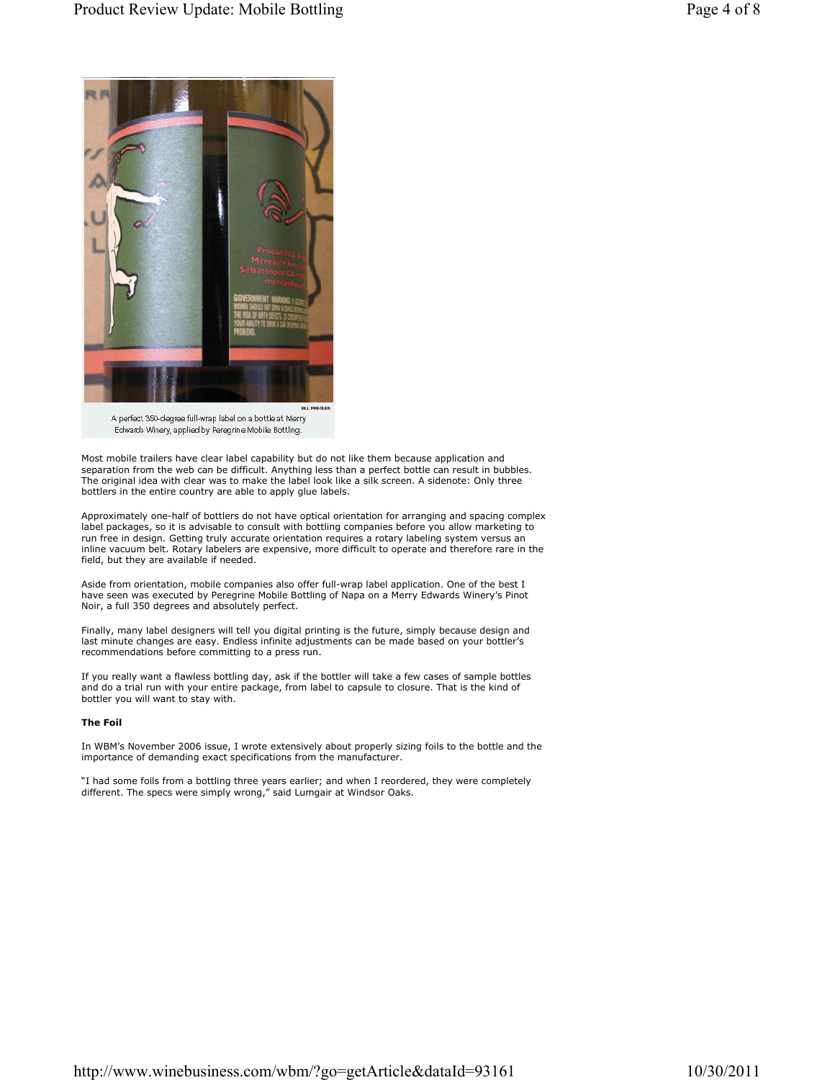

A perfect 350-degree full-wrap label on a bottle at Merry Edwards Winery, applied by Peregrine Mobile Bottling.

Most mobile trailers have clear label capability but do not like them because application and separation from the web can be difficult. Anything less than a perfect bottle can result in bubbles. The original idea with clear was to make the label look like a silk screen. A sidenote: Only three bottlers in the entire country are able to apply glue labels.

Approximately one-half of bottlers do not have optical orientation for arranging and spacing complex label packages, so it is advisable to consult with bottling companies before you allow marketing to run free in design. Getting truly accurate orientation requires a rotary labeling system versus an inline vacuum belt. Rotary labelers are expensive, more difficult to operate and therefore rare in the field, but they are available if needed.

Aside from orientation, mobile companies also offer full-wrap label application. One of the best I have seen was executed by Peregrine Mobile Bottling of Napa on a Merry Edwards Winery's Pinot Noir, a full 350 degrees and absolutely perfect.

Finally, many label designers will tell you digital printing is the future, simply because design and last minute changes are easy. Endless infinite adjustments can be made based on your bottler's recommendations before committing to a press run.

If you really want a flawless bottling day, ask if the bottler will take a few cases of sample bottles and do a trial run with your entire package, from label to capsule to closure. That is the kind of bottler you will want to stay with.

#### **The Foil**

In WBM's November 2006 issue, I wrote extensively about properly sizing foils to the bottle and the importance of demanding exact specifications from the manufacturer.

"I had some foils from a bottling three years earlier; and when I reordered, they were completely different. The specs were simply wrong," said Lumgair at Windsor Oaks.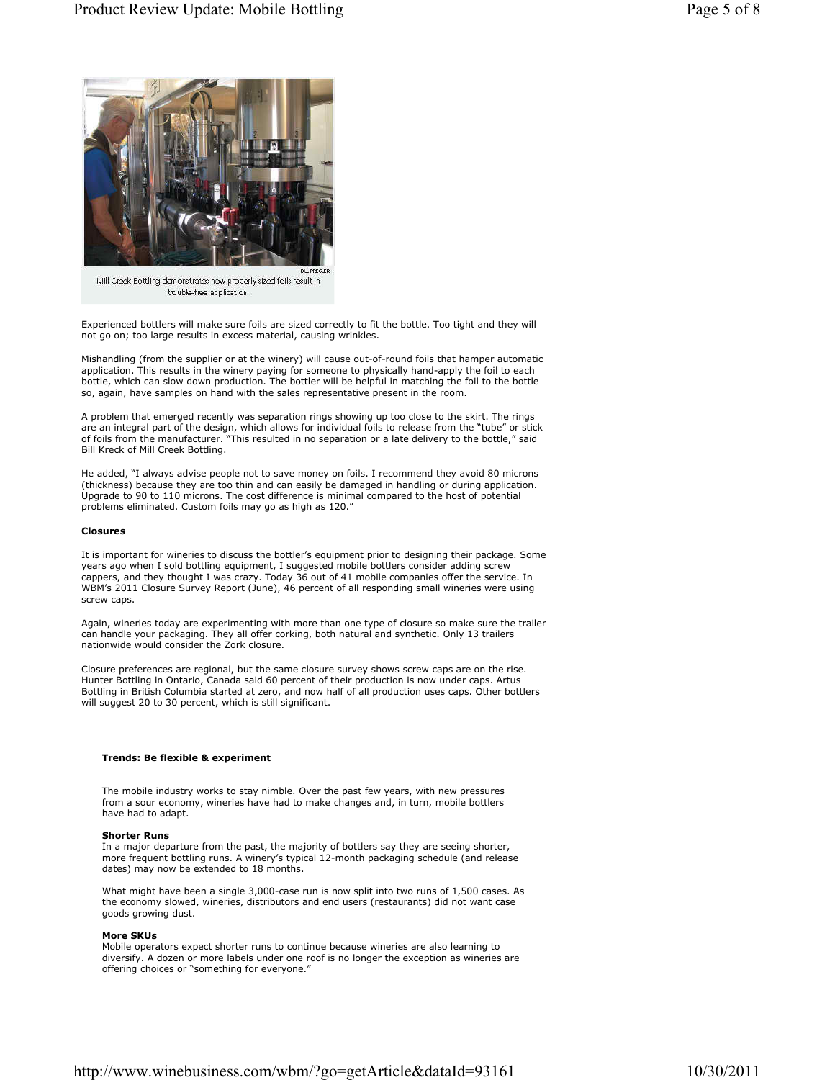

Mill Creek Bottling demonstrates how properly sized foils result in trouble-free application.

Experienced bottlers will make sure foils are sized correctly to fit the bottle. Too tight and they will not go on; too large results in excess material, causing wrinkles.

Mishandling (from the supplier or at the winery) will cause out-of-round foils that hamper automatic application. This results in the winery paying for someone to physically hand-apply the foil to each bottle, which can slow down production. The bottler will be helpful in matching the foil to the bottle so, again, have samples on hand with the sales representative present in the room.

A problem that emerged recently was separation rings showing up too close to the skirt. The rings are an integral part of the design, which allows for individual foils to release from the "tube" or stick of foils from the manufacturer. "This resulted in no separation or a late delivery to the bottle," said Bill Kreck of Mill Creek Bottling.

He added, "I always advise people not to save money on foils. I recommend they avoid 80 microns (thickness) because they are too thin and can easily be damaged in handling or during application. Upgrade to 90 to 110 microns. The cost difference is minimal compared to the host of potential problems eliminated. Custom foils may go as high as 120."

#### **Closures**

It is important for wineries to discuss the bottler's equipment prior to designing their package. Some years ago when I sold bottling equipment, I suggested mobile bottlers consider adding screw cappers, and they thought I was crazy. Today 36 out of 41 mobile companies offer the service. In WBM's 2011 Closure Survey Report (June), 46 percent of all responding small wineries were using screw caps.

Again, wineries today are experimenting with more than one type of closure so make sure the trailer can handle your packaging. They all offer corking, both natural and synthetic. Only 13 trailers nationwide would consider the Zork closure.

Closure preferences are regional, but the same closure survey shows screw caps are on the rise. Hunter Bottling in Ontario, Canada said 60 percent of their production is now under caps. Artus Bottling in British Columbia started at zero, and now half of all production uses caps. Other bottlers will suggest 20 to 30 percent, which is still significant.

#### **Trends: Be flexible & experiment**

The mobile industry works to stay nimble. Over the past few years, with new pressures from a sour economy, wineries have had to make changes and, in turn, mobile bottlers have had to adapt.

#### **Shorter Runs**

In a major departure from the past, the majority of bottlers say they are seeing shorter, more frequent bottling runs. A winery's typical 12-month packaging schedule (and release dates) may now be extended to 18 months.

What might have been a single 3,000-case run is now split into two runs of 1,500 cases. As the economy slowed, wineries, distributors and end users (restaurants) did not want case goods growing dust.

#### **More SKUs**

Mobile operators expect shorter runs to continue because wineries are also learning to diversify. A dozen or more labels under one roof is no longer the exception as wineries are offering choices or "something for everyone.'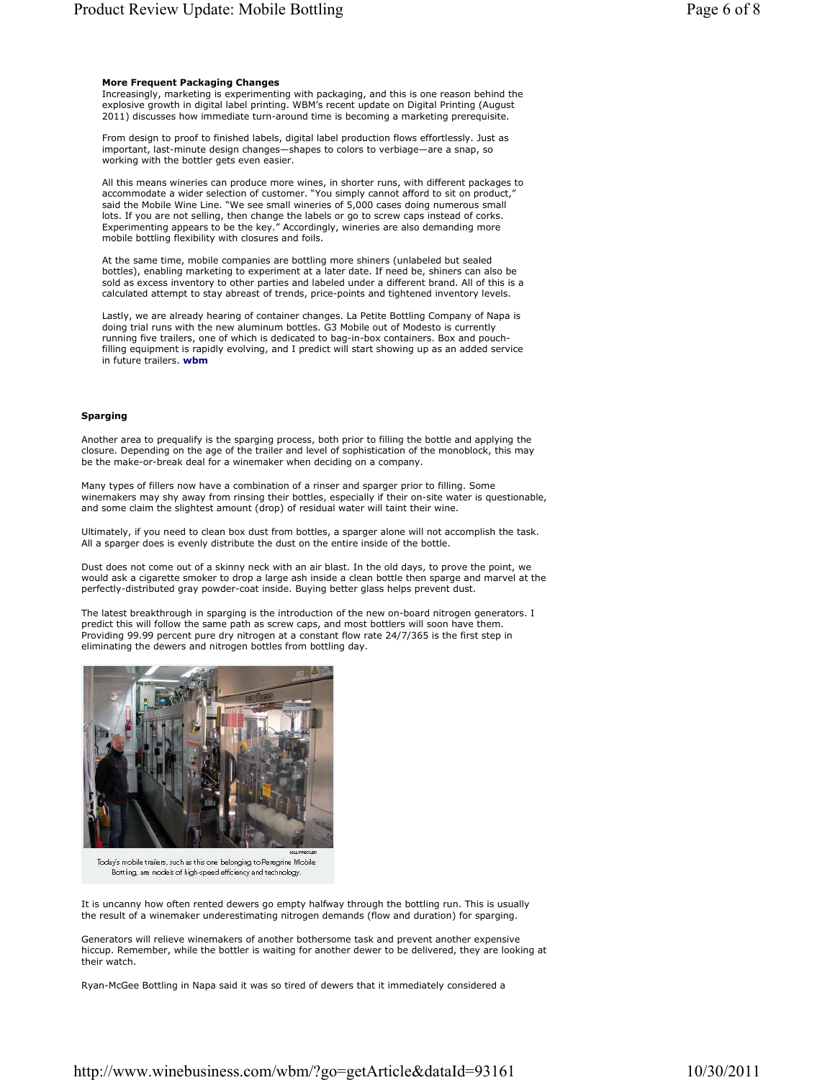#### **More Frequent Packaging Changes**

Increasingly, marketing is experimenting with packaging, and this is one reason behind the explosive growth in digital label printing. WBM's recent update on Digital Printing (August 2011) discusses how immediate turn-around time is becoming a marketing prerequisite.

From design to proof to finished labels, digital label production flows effortlessly. Just as important, last-minute design changes—shapes to colors to verbiage—are a snap, so working with the bottler gets even easier.

All this means wineries can produce more wines, in shorter runs, with different packages to accommodate a wider selection of customer. "You simply cannot afford to sit on product, said the Mobile Wine Line. "We see small wineries of 5,000 cases doing numerous small lots. If you are not selling, then change the labels or go to screw caps instead of corks. Experimenting appears to be the key." Accordingly, wineries are also demanding more mobile bottling flexibility with closures and foils.

At the same time, mobile companies are bottling more shiners (unlabeled but sealed bottles), enabling marketing to experiment at a later date. If need be, shiners can also be sold as excess inventory to other parties and labeled under a different brand. All of this is a calculated attempt to stay abreast of trends, price-points and tightened inventory levels.

Lastly, we are already hearing of container changes. La Petite Bottling Company of Napa is doing trial runs with the new aluminum bottles. G3 Mobile out of Modesto is currently running five trailers, one of which is dedicated to bag-in-box containers. Box and pouchfilling equipment is rapidly evolving, and I predict will start showing up as an added service in future trailers. **wbm**

#### **Sparging**

Another area to prequalify is the sparging process, both prior to filling the bottle and applying the closure. Depending on the age of the trailer and level of sophistication of the monoblock, this may be the make-or-break deal for a winemaker when deciding on a company.

Many types of fillers now have a combination of a rinser and sparger prior to filling. Some winemakers may shy away from rinsing their bottles, especially if their on-site water is questionable, and some claim the slightest amount (drop) of residual water will taint their wine.

Ultimately, if you need to clean box dust from bottles, a sparger alone will not accomplish the task. All a sparger does is evenly distribute the dust on the entire inside of the bottle.

Dust does not come out of a skinny neck with an air blast. In the old days, to prove the point, we would ask a cigarette smoker to drop a large ash inside a clean bottle then sparge and marvel at the perfectly-distributed gray powder-coat inside. Buying better glass helps prevent dust.

The latest breakthrough in sparging is the introduction of the new on-board nitrogen generators. I predict this will follow the same path as screw caps, and most bottlers will soon have them. Providing 99.99 percent pure dry nitrogen at a constant flow rate 24/7/365 is the first step in eliminating the dewers and nitrogen bottles from bottling day.



Today's mobile trailers, such as this one belonging to Peregrine Mobile Bottling, are models of high-speed efficiency and technology

It is uncanny how often rented dewers go empty halfway through the bottling run. This is usually the result of a winemaker underestimating nitrogen demands (flow and duration) for sparging.

Generators will relieve winemakers of another bothersome task and prevent another expensive hiccup. Remember, while the bottler is waiting for another dewer to be delivered, they are looking at their watch.

Ryan-McGee Bottling in Napa said it was so tired of dewers that it immediately considered a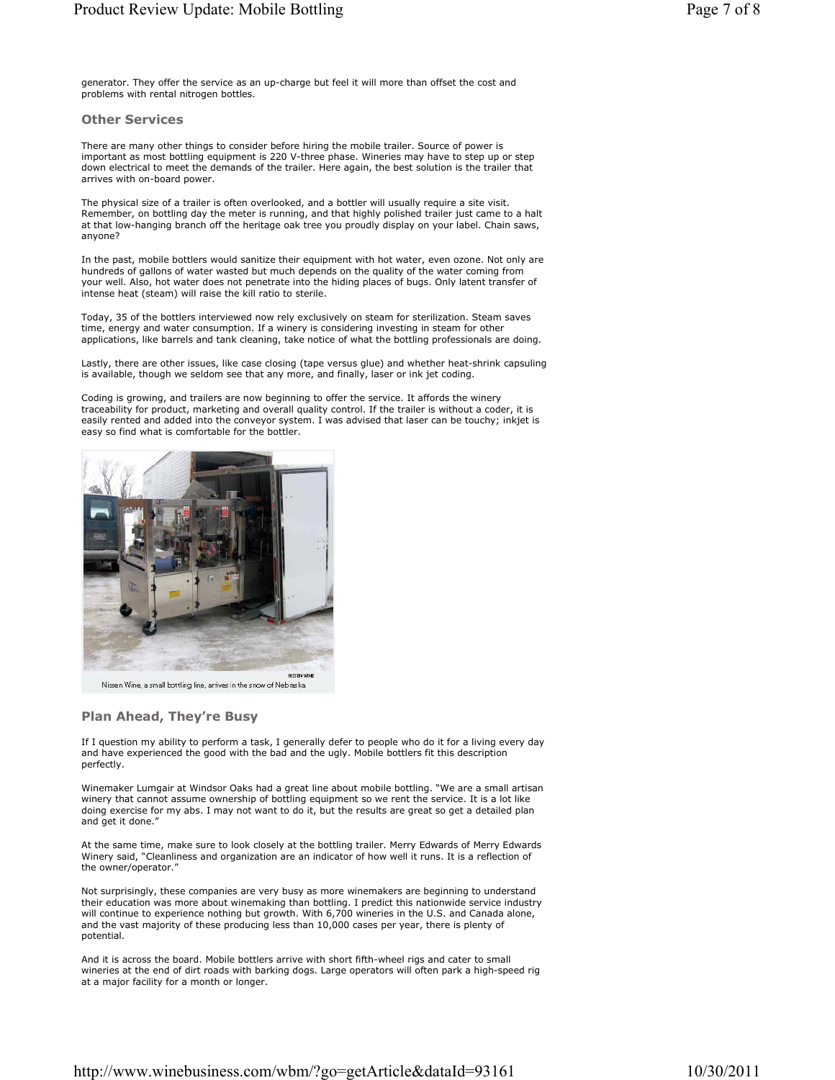generator. They offer the service as an up-charge but feel it will more than offset the cost and problems with rental nitrogen bottles.

#### **Other Services**

There are many other things to consider before hiring the mobile trailer. Source of power is important as most bottling equipment is 220 V-three phase. Wineries may have to step up or step down electrical to meet the demands of the trailer. Here again, the best solution is the trailer that arrives with on-board power.

The physical size of a trailer is often overlooked, and a bottler will usually require a site visit. Remember, on bottling day the meter is running, and that highly polished trailer just came to a halt at that low-hanging branch off the heritage oak tree you proudly display on your label. Chain saws, anyone?

In the past, mobile bottlers would sanitize their equipment with hot water, even ozone. Not only are hundreds of gallons of water wasted but much depends on the quality of the water coming from your well. Also, hot water does not penetrate into the hiding places of bugs. Only latent transfer of intense heat (steam) will raise the kill ratio to sterile.

Today, 35 of the bottlers interviewed now rely exclusively on steam for sterilization. Steam saves time, energy and water consumption. If a winery is considering investing in steam for other applications, like barrels and tank cleaning, take notice of what the bottling professionals are doing.

Lastly, there are other issues, like case closing (tape versus glue) and whether heat-shrink capsuling is available, though we seldom see that any more, and finally, laser or ink jet coding.

Coding is growing, and trailers are now beginning to offer the service. It affords the winery traceability for product, marketing and overall quality control. If the trailer is without a coder, it is easily rented and added into the conveyor system. I was advised that laser can be touchy; inkjet is easy so find what is comfortable for the bottler.



Nissen Wine, a small bottling line, arrives in the snow of Nebraska.

#### **Plan Ahead, They're Busy**

If I question my ability to perform a task, I generally defer to people who do it for a living every day and have experienced the good with the bad and the ugly. Mobile bottlers fit this description perfectly.

Winemaker Lumgair at Windsor Oaks had a great line about mobile bottling. "We are a small artisan winery that cannot assume ownership of bottling equipment so we rent the service. It is a lot like doing exercise for my abs. I may not want to do it, but the results are great so get a detailed plan and get it done.

At the same time, make sure to look closely at the bottling trailer. Merry Edwards of Merry Edwards Winery said, "Cleanliness and organization are an indicator of how well it runs. It is a reflection of the owner/operator."

Not surprisingly, these companies are very busy as more winemakers are beginning to understand their education was more about winemaking than bottling. I predict this nationwide service industry will continue to experience nothing but growth. With 6,700 wineries in the U.S. and Canada alone, and the vast majority of these producing less than 10,000 cases per year, there is plenty of potential.

And it is across the board. Mobile bottlers arrive with short fifth-wheel rigs and cater to small wineries at the end of dirt roads with barking dogs. Large operators will often park a high-speed rig at a major facility for a month or longer.